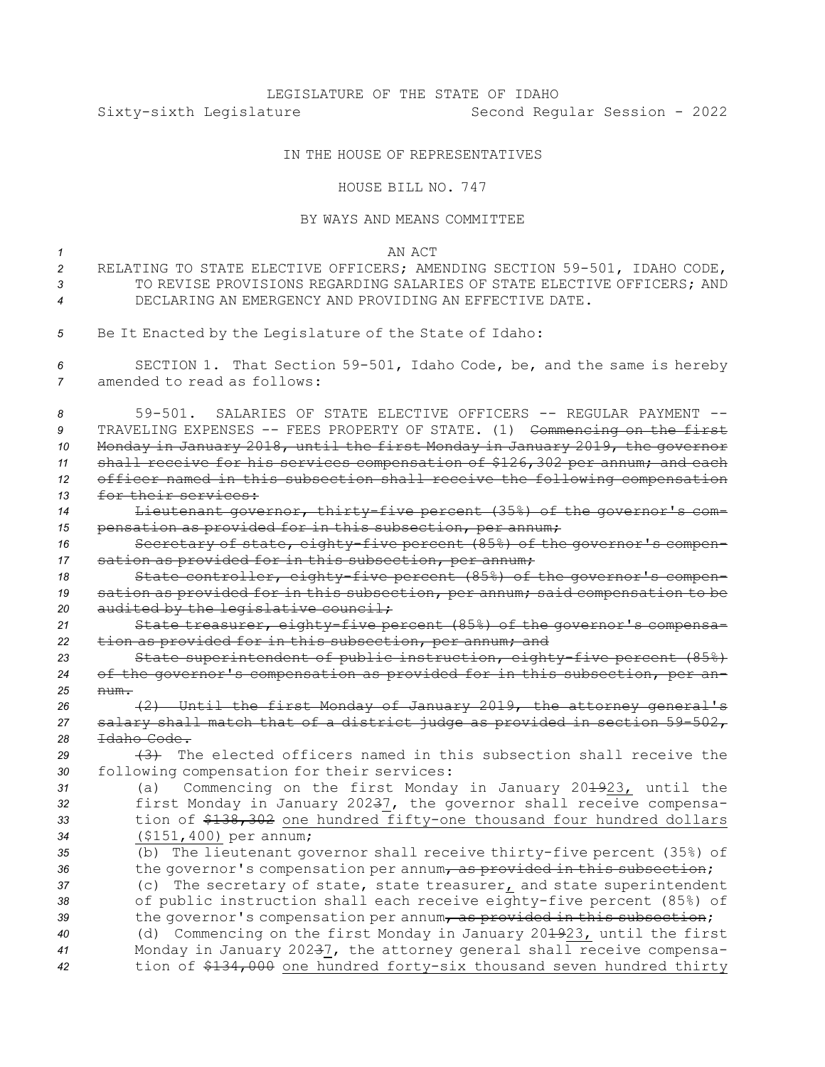## LEGISLATURE OF THE STATE OF IDAHO Sixty-sixth Legislature Second Regular Session - 2022

## IN THE HOUSE OF REPRESENTATIVES

## HOUSE BILL NO. 747

## BY WAYS AND MEANS COMMITTEE

*1* AN ACT

- *<sup>2</sup>* RELATING TO STATE ELECTIVE OFFICERS; AMENDING SECTION 59-501, IDAHO CODE, 3 TO REVISE PROVISIONS REGARDING SALARIES OF STATE ELECTIVE OFFICERS; AND *4* DECLARING AN EMERGENCY AND PROVIDING AN EFFECTIVE DATE.
- *<sup>5</sup>* Be It Enacted by the Legislature of the State of Idaho:
- *<sup>6</sup>* SECTION 1. That Section 59-501, Idaho Code, be, and the same is hereby *7* amended to read as follows:

 59-501. SALARIES OF STATE ELECTIVE OFFICERS -- REGULAR PAYMENT -- 9 TRAVELING EXPENSES -- FEES PROPERTY OF STATE. (1) <del>Commencing on the first</del> Monday in January 2018, until the first Monday in January 2019, the governor shall receive for his services compensation of \$126,302 per annum; and each officer named in this subsection shall receive the following compensation for their services: 14 Lieutenant governor, thirty-five percent (35%) of the governor's com- pensation as provided for in this subsection, per annum; Secretary of state, eighty-five percent (85%) of the governor's compen- sation as provided for in this subsection, per annum; State controller, eighty-five percent (85%) of the governor's compen- sation as provided for in this subsection, per annum; said compensation to be 20 audited by the legislative council; State treasurer, eighty-five percent (85%) of the governor's compensa- tion as provided for in this subsection, per annum; and State superintendent of public instruction, eighty-five percent (85%) of the governor's compensation as provided for in this subsection, per an-*25* num. (2) Until the first Monday of January 2019, the attorney general's salary shall match that of <sup>a</sup> district judge as provided in section 59-502, Idaho Code. 29 (3) The elected officers named in this subsection shall receive the following compensation for their services: (a) Commencing on the first Monday in January 201923, until the first Monday in January 20237, the governor shall receive compensa- tion of \$138,302 one hundred fifty-one thousand four hundred dollars (\$151,400) per annum; (b) The lieutenant governor shall receive thirty-five percent (35%) of 36 the governor's compensation per annum<sub>r</sub> as provided in this subsection; (c) The secretary of state, state treasurer, and state superintendent of public instruction shall each receive eighty-five percent (85%) of 39 the governor's compensation per annum<sub>r</sub> as provided in this subsection; (d) Commencing on the first Monday in January 201923, until the first Monday in January 20237, the attorney general shall receive compensa-tion of \$134,000 one hundred forty-six thousand seven hundred thirty